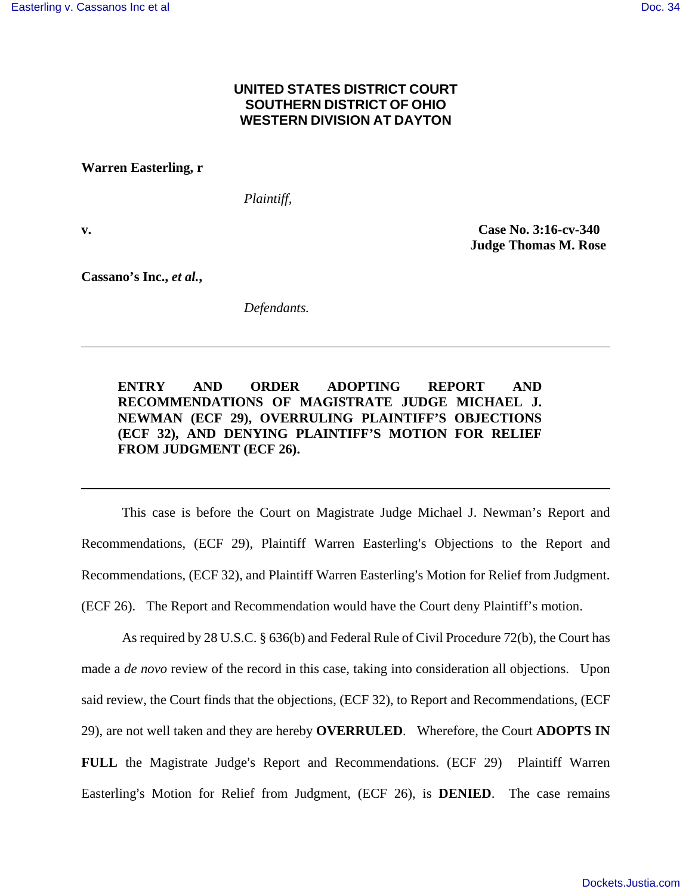## **UNITED STATES DISTRICT COURT SOUTHERN DISTRICT OF OHIO WESTERN DIVISION AT DAYTON**

**Warren Easterling, r** 

*Plaintiff,* 

**v. Case No. 3:16-cv-340 Judge Thomas M. Rose** 

**Cassano's Inc.,** *et al.***,** 

*Defendants.* 

**ENTRY AND ORDER ADOPTING REPORT AND RECOMMENDATIONS OF MAGISTRATE JUDGE MICHAEL J. NEWMAN (ECF 29), OVERRULING PLAINTIFF'S OBJECTIONS (ECF 32), AND DENYING PLAINTIFF'S MOTION FOR RELIEF FROM JUDGMENT (ECF 26).** 

 This case is before the Court on Magistrate Judge Michael J. Newman's Report and Recommendations, (ECF 29), Plaintiff Warren Easterling's Objections to the Report and Recommendations, (ECF 32), and Plaintiff Warren Easterling's Motion for Relief from Judgment. (ECF 26). The Report and Recommendation would have the Court deny Plaintiff's motion.

 As required by 28 U.S.C. § 636(b) and Federal Rule of Civil Procedure 72(b), the Court has made a *de novo* review of the record in this case, taking into consideration all objections. Upon said review, the Court finds that the objections, (ECF 32), to Report and Recommendations, (ECF 29), are not well taken and they are hereby **OVERRULED**. Wherefore, the Court **ADOPTS IN FULL** the Magistrate Judge's Report and Recommendations. (ECF 29) Plaintiff Warren Easterling's Motion for Relief from Judgment, (ECF 26), is **DENIED**. The case remains